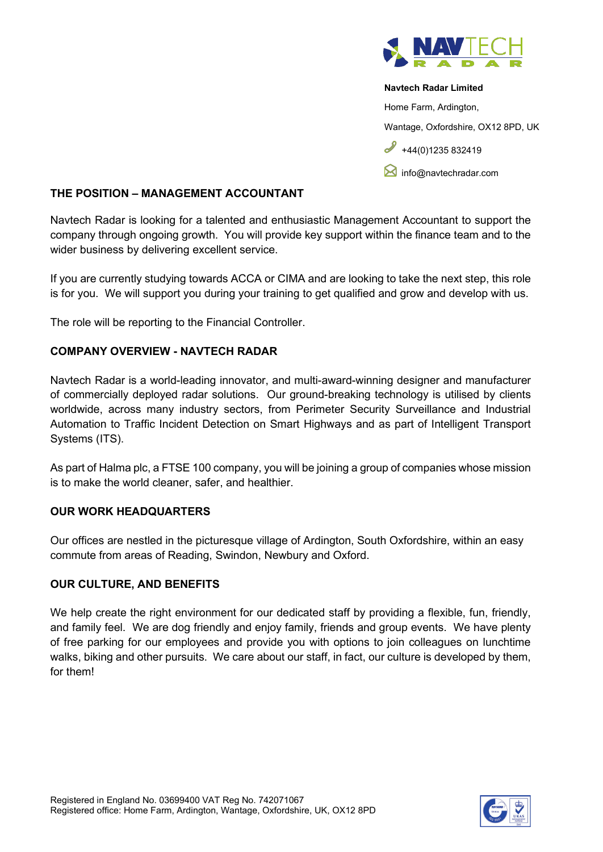

#### **Navtech Radar Limited**

Home Farm, Ardington,

Wantage, Oxfordshire, OX12 8PD, UK

 $+44(0)1235832419$ 

**M** [info@navtechradar.com](mailto:info@navtechradar.com)

## **THE POSITION – MANAGEMENT ACCOUNTANT**

Navtech Radar is looking for a talented and enthusiastic Management Accountant to support the company through ongoing growth. You will provide key support within the finance team and to the wider business by delivering excellent service.

If you are currently studying towards ACCA or CIMA and are looking to take the next step, this role is for you. We will support you during your training to get qualified and grow and develop with us.

The role will be reporting to the Financial Controller.

# **COMPANY OVERVIEW - NAVTECH RADAR**

Navtech Radar is a world-leading innovator, and multi-award-winning designer and manufacturer of commercially deployed radar solutions. Our ground-breaking technology is utilised by clients worldwide, across many industry sectors, from Perimeter Security Surveillance and Industrial Automation to Traffic Incident Detection on Smart Highways and as part of Intelligent Transport Systems (ITS).

As part of Halma plc, a FTSE 100 company, you will be joining a group of companies whose mission is to make the world cleaner, safer, and healthier.

# **OUR WORK HEADQUARTERS**

Our offices are nestled in the picturesque village of Ardington, South Oxfordshire, within an easy commute from areas of Reading, Swindon, Newbury and Oxford.

# **OUR CULTURE, AND BENEFITS**

We help create the right environment for our dedicated staff by providing a flexible, fun, friendly, and family feel. We are dog friendly and enjoy family, friends and group events. We have plenty of free parking for our employees and provide you with options to join colleagues on lunchtime walks, biking and other pursuits. We care about our staff, in fact, our culture is developed by them, for them!

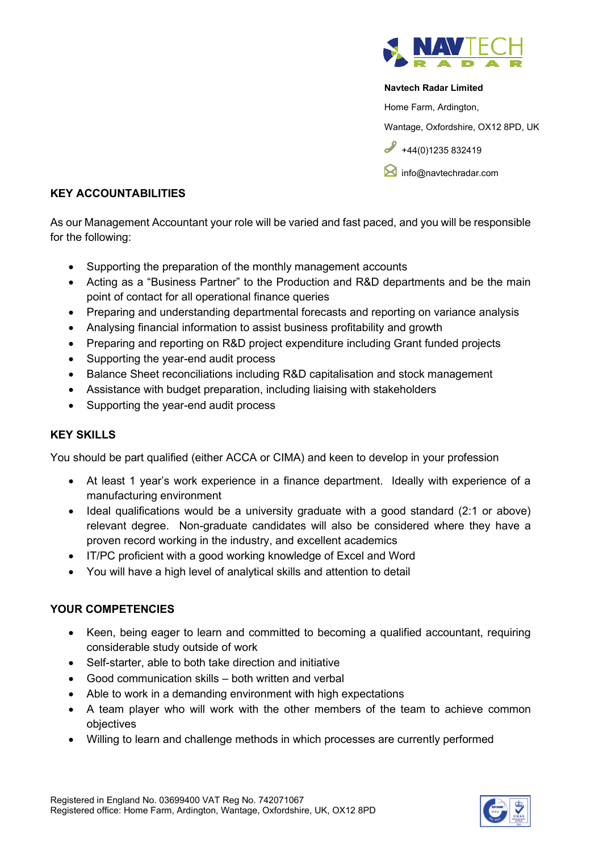

#### **Navtech Radar Limited**

Home Farm, Ardington,

Wantage, Oxfordshire, OX12 8PD, UK

 $+44(0)1235832419$ 

**M** [info@navtechradar.com](mailto:info@navtechradar.com)

### **KEY ACCOUNTABILITIES**

As our Management Accountant your role will be varied and fast paced, and you will be responsible for the following:

- Supporting the preparation of the monthly management accounts
- Acting as a "Business Partner" to the Production and R&D departments and be the main point of contact for all operational finance queries
- Preparing and understanding departmental forecasts and reporting on variance analysis
- Analysing financial information to assist business profitability and growth
- Preparing and reporting on R&D project expenditure including Grant funded projects
- Supporting the year-end audit process
- Balance Sheet reconciliations including R&D capitalisation and stock management
- Assistance with budget preparation, including liaising with stakeholders
- Supporting the year-end audit process

# **KEY SKILLS**

You should be part qualified (either ACCA or CIMA) and keen to develop in your profession

- At least 1 year's work experience in a finance department. Ideally with experience of a manufacturing environment
- Ideal qualifications would be a university graduate with a good standard (2:1 or above) relevant degree. Non-graduate candidates will also be considered where they have a proven record working in the industry, and excellent academics
- IT/PC proficient with a good working knowledge of Excel and Word
- You will have a high level of analytical skills and attention to detail

# **YOUR COMPETENCIES**

- Keen, being eager to learn and committed to becoming a qualified accountant, requiring considerable study outside of work
- Self-starter, able to both take direction and initiative
- Good communication skills both written and verbal
- Able to work in a demanding environment with high expectations
- A team player who will work with the other members of the team to achieve common objectives
- Willing to learn and challenge methods in which processes are currently performed